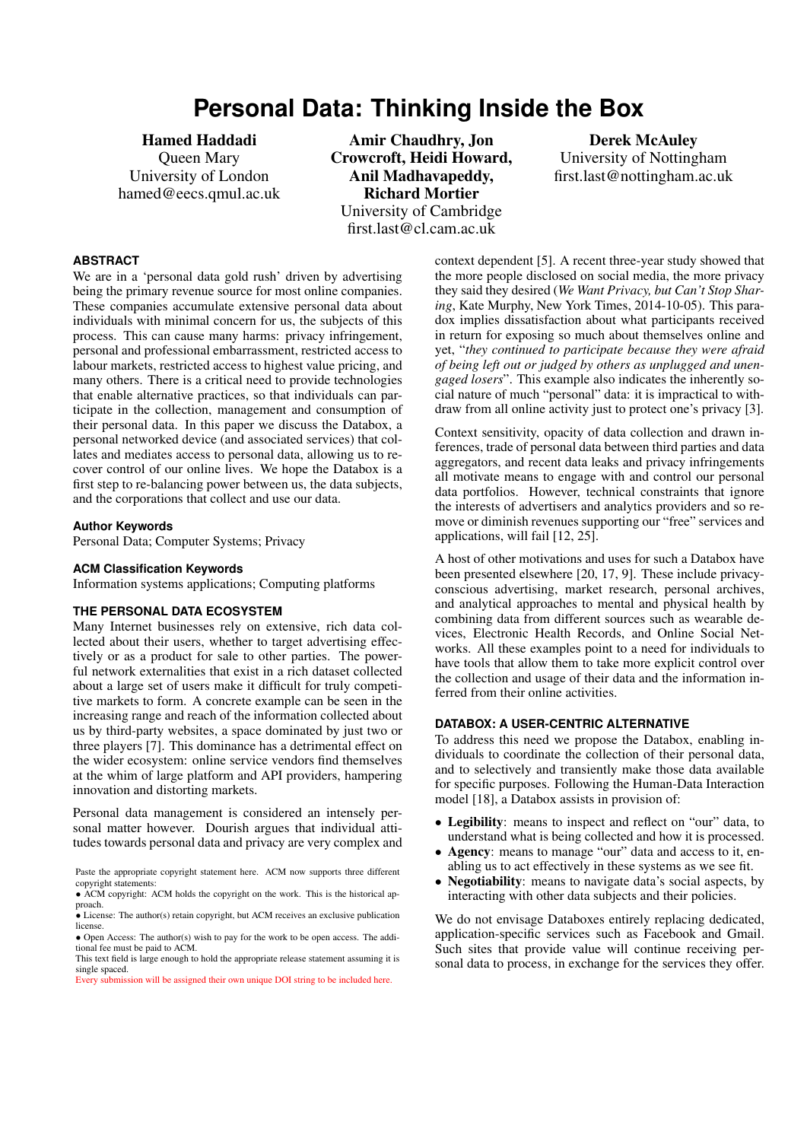# **Personal Data: Thinking Inside the Box**

Hamed Haddadi Queen Mary University of London hamed@eecs.qmul.ac.uk

Amir Chaudhry, Jon Crowcroft, Heidi Howard, Anil Madhavapeddy, Richard Mortier University of Cambridge first.last@cl.cam.ac.uk

Derek McAuley University of Nottingham first.last@nottingham.ac.uk

#### **ABSTRACT**

We are in a 'personal data gold rush' driven by advertising being the primary revenue source for most online companies. These companies accumulate extensive personal data about individuals with minimal concern for us, the subjects of this process. This can cause many harms: privacy infringement, personal and professional embarrassment, restricted access to labour markets, restricted access to highest value pricing, and many others. There is a critical need to provide technologies that enable alternative practices, so that individuals can participate in the collection, management and consumption of their personal data. In this paper we discuss the Databox, a personal networked device (and associated services) that collates and mediates access to personal data, allowing us to recover control of our online lives. We hope the Databox is a first step to re-balancing power between us, the data subjects, and the corporations that collect and use our data.

# **Author Keywords**

Personal Data; Computer Systems; Privacy

#### **ACM Classification Keywords**

Information systems applications; Computing platforms

#### **THE PERSONAL DATA ECOSYSTEM**

Many Internet businesses rely on extensive, rich data collected about their users, whether to target advertising effectively or as a product for sale to other parties. The powerful network externalities that exist in a rich dataset collected about a large set of users make it difficult for truly competitive markets to form. A concrete example can be seen in the increasing range and reach of the information collected about us by third-party websites, a space dominated by just two or three players [7]. This dominance has a detrimental effect on the wider ecosystem: online service vendors find themselves at the whim of large platform and API providers, hampering innovation and distorting markets.

Personal data [m](#page-3-0)anagement is considered an intensely personal matter however. Dourish argues that individual attitudes towards personal data and privacy are very complex and

context dependent [5]. A recent three-year study showed that the more people disclosed on social media, the more privacy they said they desired (*We Want Privacy, but Can't Stop Sharing*, Kate Murphy, New York Times, 2014-10-05). This paradox implies dissati[sf](#page-3-1)action about what participants received in return for exposing so much about themselves online and yet, "*they continued to participate because they were afraid of being left out or judged by others as unplugged and unengaged losers*". This example also indicates the inherently social nature of much "personal" data: it is impractical to withdraw from all online activity just to protect one's privacy [3].

Context sensitivity, opacity of data collection and drawn inferences, trade of personal data between third parties and data aggregators, and recent data leaks and privacy infringements all motivate means to engage with and control our perso[na](#page-3-2)l data portfolios. However, technical constraints that ignore the interests of advertisers and analytics providers and so remove or diminish revenues supporting our "free" services and applications, will fail [12, 25].

A host of other motivations and uses for such a Databox have been presented elsewhere [20, 17, 9]. These include privacyconscious advertising, market research, personal archives, and analytical approa[che](#page-3-3)[s to](#page-3-4) mental and physical health by combining data from different sources such as wearable devices, Electronic Health [Rec](#page-3-5)[ord](#page-3-6)s[,](#page-3-7) and Online Social Networks. All these examples point to a need for individuals to have tools that allow them to take more explicit control over the collection and usage of their data and the information inferred from their online activities.

# **DATABOX: A USER-CENTRIC ALTERNATIVE**

To address this need we propose the Databox, enabling individuals to coordinate the collection of their personal data, and to selectively and transiently make those data available for specific purposes. Following the Human-Data Interaction model [18], a Databox assists in provision of:

- *•* Legibility: means to inspect and reflect on "our" data, to understand what is being collected and how it is processed.
- *•* Agency: means to manage "our" data and access to it, enablin[g u](#page-3-8)s to act effectively in these systems as we see fit.
- **Negotiability**: means to navigate data's social aspects, by interacting with other data subjects and their policies.

We do not envisage Databoxes entirely replacing dedicated, application-specific services such as Facebook and Gmail. Such sites that provide value will continue receiving personal data to process, in exchange for the services they offer.

Paste the appropriate copyright statement here. ACM now supports three different copyright statements:

<sup>•</sup> ACM copyright: ACM holds the copyright on the work. This is the historical approach.

<sup>•</sup> License: The author(s) retain copyright, but ACM receives an exclusive publication license.

<sup>•</sup> Open Access: The author(s) wish to pay for the work to be open access. The additional fee must be paid to ACM.

This text field is large enough to hold the appropriate release statement assuming it is single spaced.

Every submission will be assigned their own unique DOI string to be included here.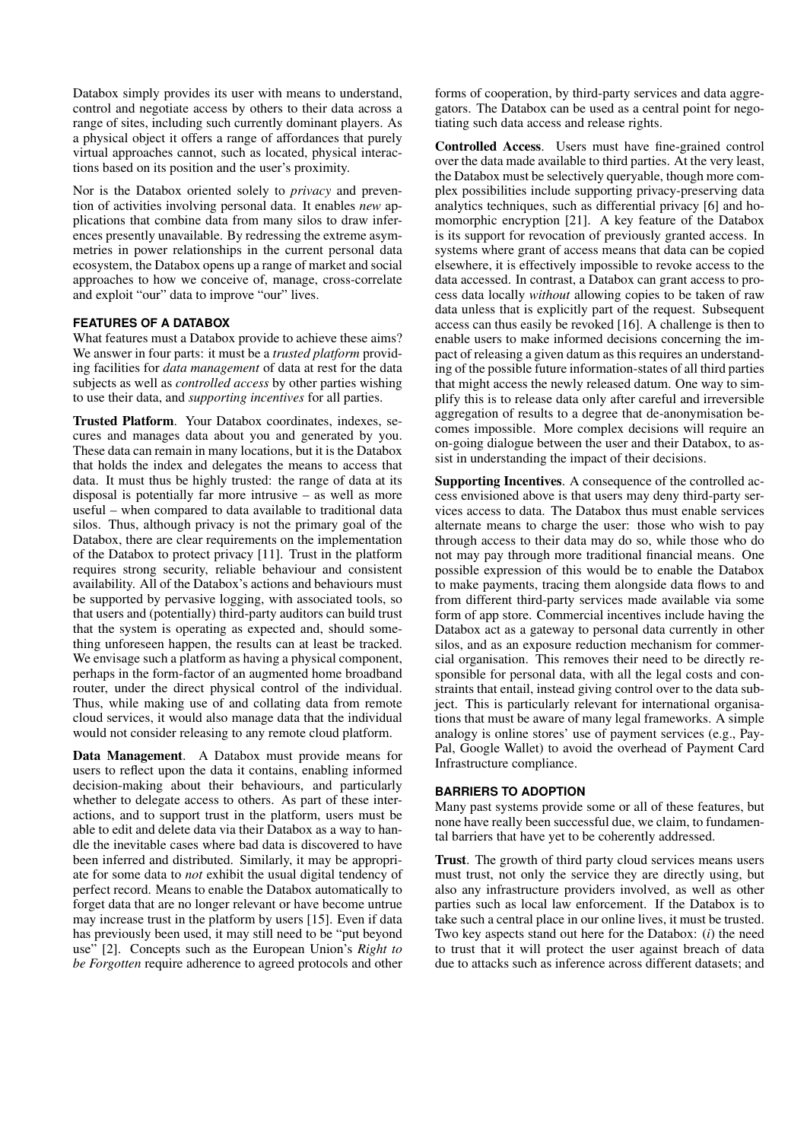Databox simply provides its user with means to understand, control and negotiate access by others to their data across a range of sites, including such currently dominant players. As a physical object it offers a range of affordances that purely virtual approaches cannot, such as located, physical interactions based on its position and the user's proximity.

Nor is the Databox oriented solely to *privacy* and prevention of activities involving personal data. It enables *new* applications that combine data from many silos to draw inferences presently unavailable. By redressing the extreme asymmetries in power relationships in the current personal data ecosystem, the Databox opens up a range of market and social approaches to how we conceive of, manage, cross-correlate and exploit "our" data to improve "our" lives.

# **FEATURES OF A DATABOX**

What features must a Databox provide to achieve these aims? We answer in four parts: it must be a *trusted platform* providing facilities for *data management* of data at rest for the data subjects as well as *controlled access* by other parties wishing to use their data, and *supporting incentives* for all parties.

Trusted Platform. Your Databox coordinates, indexes, secures and manages data about you and generated by you. These data can remain in many locations, but it is the Databox that holds the index and delegates the means to access that data. It must thus be highly trusted: the range of data at its disposal is potentially far more intrusive – as well as more useful – when compared to data available to traditional data silos. Thus, although privacy is not the primary goal of the Databox, there are clear requirements on the implementation of the Databox to protect privacy [11]. Trust in the platform requires strong security, reliable behaviour and consistent availability. All of the Databox's actions and behaviours must be supported by pervasive logging, with associated tools, so that users and (potentially) third-party auditors can build trust that the system is operating as ex[pec](#page-3-9)ted and, should something unforeseen happen, the results can at least be tracked. We envisage such a platform as having a physical component, perhaps in the form-factor of an augmented home broadband router, under the direct physical control of the individual. Thus, while making use of and collating data from remote cloud services, it would also manage data that the individual would not consider releasing to any remote cloud platform.

Data Management. A Databox must provide means for users to reflect upon the data it contains, enabling informed decision-making about their behaviours, and particularly whether to delegate access to others. As part of these interactions, and to support trust in the platform, users must be able to edit and delete data via their Databox as a way to handle the inevitable cases where bad data is discovered to have been inferred and distributed. Similarly, it may be appropriate for some data to *not* exhibit the usual digital tendency of perfect record. Means to enable the Databox automatically to forget data that are no longer relevant or have become untrue may increase trust in the platform by users [15]. Even if data has previously been used, it may still need to be "put beyond use" [2]. Concepts such as the European Union's *Right to be Forgotten* require adherence to agreed protocols and other

forms of cooperation, by third-party services and data aggregators. The Databox can be used as a central point for negotiating such data access and release rights.

Controlled Access. Users must have fine-grained control over the data made available to third parties. At the very least, the Databox must be selectively queryable, though more complex possibilities include supporting privacy-preserving data analytics techniques, such as differential privacy [6] and homomorphic encryption [21]. A key feature of the Databox is its support for revocation of previously granted access. In systems where grant of access means that data can be copied elsewhere, it is effectively impossible to revoke a[cce](#page-3-10)ss to the data accessed. In contras[t, a](#page-3-11) Databox can grant access to process data locally *without* allowing copies to be taken of raw data unless that is explicitly part of the request. Subsequent access can thus easily be revoked [16]. A challenge is then to enable users to make informed decisions concerning the impact of releasing a given datum as this requires an understanding of the possible future information-states of all third parties that might access the newly releas[ed d](#page-3-12)atum. One way to simplify this is to release data only after careful and irreversible aggregation of results to a degree that de-anonymisation becomes impossible. More complex decisions will require an on-going dialogue between the user and their Databox, to assist in understanding the impact of their decisions.

Supporting Incentives. A consequence of the controlled access envisioned above is that users may deny third-party services access to data. The Databox thus must enable services alternate means to charge the user: those who wish to pay through access to their data may do so, while those who do not may pay through more traditional financial means. One possible expression of this would be to enable the Databox to make payments, tracing them alongside data flows to and from different third-party services made available via some form of app store. Commercial incentives include having the Databox act as a gateway to personal data currently in other silos, and as an exposure reduction mechanism for commercial organisation. This removes their need to be directly responsible for personal data, with all the legal costs and constraints that entail, instead giving control over to the data subject. This is particularly relevant for international organisations that must be aware of many legal frameworks. A simple analogy is online stores' use of payment services (e.g., Pay-Pal, Google Wallet) to avoid the overhead of Payment Card Infrastructure compliance.

# **BARRIERS TO ADOPTION**

Many past systems provide some or all of these features, but none have really been successful due, we claim, to fundamental barriers that have yet to be coherently addressed.

Trust. The growth of third party cloud services means users must trust, not only the service they are directly using, but also any infrastructure providers involved, as well as other parties such as local law enforcement. If the Databox is to take such a central place in our online lives, it must be trusted. Two key aspects stand out here for the Databox: (*i*) the need to trust that it will protect the user against breach of data due to attacks such as inference across different datasets; and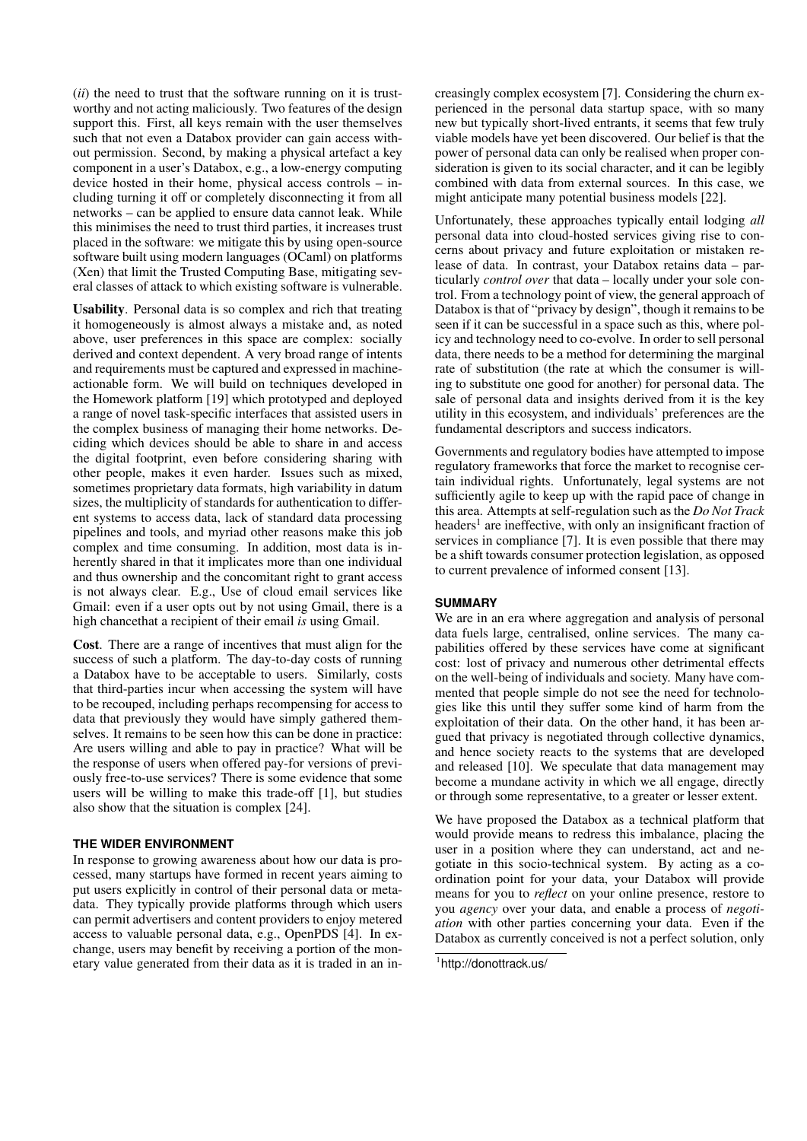(*ii*) the need to trust that the software running on it is trustworthy and not acting maliciously. Two features of the design support this. First, all keys remain with the user themselves such that not even a Databox provider can gain access without permission. Second, by making a physical artefact a key component in a user's Databox, e.g., a low-energy computing device hosted in their home, physical access controls – including turning it off or completely disconnecting it from all networks – can be applied to ensure data cannot leak. While this minimises the need to trust third parties, it increases trust placed in the software: we mitigate this by using open-source software built using modern languages (OCaml) on platforms (Xen) that limit the Trusted Computing Base, mitigating several classes of attack to which existing software is vulnerable.

Usability. Personal data is so complex and rich that treating it homogeneously is almost always a mistake and, as noted above, user preferences in this space are complex: socially derived and context dependent. A very broad range of intents and requirements must be captured and expressed in machineactionable form. We will build on techniques developed in the Homework platform [19] which prototyped and deployed a range of novel task-specific interfaces that assisted users in the complex business of managing their home networks. Deciding which devices should be able to share in and access the digital footprint, even before considering sharing with other people, makes it e[ven](#page-3-13) harder. Issues such as mixed, sometimes proprietary data formats, high variability in datum sizes, the multiplicity of standards for authentication to different systems to access data, lack of standard data processing pipelines and tools, and myriad other reasons make this job complex and time consuming. In addition, most data is inherently shared in that it implicates more than one individual and thus ownership and the concomitant right to grant access is not always clear. E.g., Use of cloud email services like Gmail: even if a user opts out by not using Gmail, there is a high chancethat a recipient of their email *is* using Gmail.

Cost. There are a range of incentives that must align for the success of such a platform. The day-to-day costs of running a Databox have to be acceptable to users. Similarly, costs that third-parties incur when accessing the system will have to be recouped, including perhaps recompensing for access to data that previously they would have simply gathered themselves. It remains to be seen how this can be done in practice: Are users willing and able to pay in practice? What will be the response of users when offered pay-for versions of previously free-to-use services? There is some evidence that some users will be willing to make this trade-off [1], but studies also show that the situation is complex [24].

# **THE WIDER ENVIRONMENT**

In response to growing awareness about how [ou](#page-3-14)r data is processed, many startups have formed in r[ece](#page-3-15)nt years aiming to put users explicitly in control of their personal data or metadata. They typically provide platforms through which users can permit advertisers and content providers to enjoy metered access to valuable personal data, e.g., OpenPDS [4]. In exchange, users may benefit by receiving a portion of the monetary value generated from their data as it is traded in an increasingly complex ecosystem [7]. Considering the churn experienced in the personal data startup space, with so many new but typically short-lived entrants, it seems that few truly viable models have yet been discovered. Our belief is that the power of personal data can only be realised when proper consideration is given to its social c[ha](#page-3-0)racter, and it can be legibly combined with data from external sources. In this case, we might anticipate many potential business models [22].

Unfortunately, these approaches typically entail lodging *all* personal data into cloud-hosted services giving rise to concerns about privacy and future exploitation or mistaken release of data. In contrast, your Databox retains [dat](#page-3-16)a – particularly *control over* that data – locally under your sole control. From a technology point of view, the general approach of Databox is that of "privacy by design", though it remains to be seen if it can be successful in a space such as this, where policy and technology need to co-evolve. In order to sell personal data, there needs to be a method for determining the marginal rate of substitution (the rate at which the consumer is willing to substitute one good for another) for personal data. The sale of personal data and insights derived from it is the key utility in this ecosystem, and individuals' preferences are the fundamental descriptors and success indicators.

Governments and regulatory bodies have attempted to impose regulatory frameworks that force the market to recognise certain individual rights. Unfortunately, legal systems are not sufficiently agile to keep up with the rapid pace of change in this area. Attempts at self-regulation such as the *Do Not Track* headers<sup>1</sup> are ineffective, with only an insignificant fraction of services in compliance [7]. It is even possible that there may be a shift towards consumer protection legislation, as opposed to current prevalence of informed consent [13].

#### **SUMMARY**

We are in an era where aggregation and analysis of personal data fuels large, centralised, online servic[es.](#page-3-17) The many capabilities offered by these services have come at significant cost: lost of privacy and numerous other detrimental effects on the well-being of individuals and society. Many have commented that people simple do not see the need for technologies like this until they suffer some kind of harm from the exploitation of their data. On the other hand, it has been argued that privacy is negotiated through collective dynamics, and hence society reacts to the systems that are developed and released [10]. We speculate that data management may become a mundane activity in which we all engage, directly or through some representative, to a greater or lesser extent.

We have proposed the Databox as a technical platform that would provid[e m](#page-3-18)eans to redress this imbalance, placing the user in a position where they can understand, act and negotiate in this socio-technical system. By acting as a coordination point for your data, your Databox will provide means for you to *reflect* on your online presence, restore to you *agency* over your data, and enable a process of *negotiation* with other parties concerning your data. Even if the Databox as currently conceived is not a perfect solution, only

<sup>1</sup> http://donottrack.us/